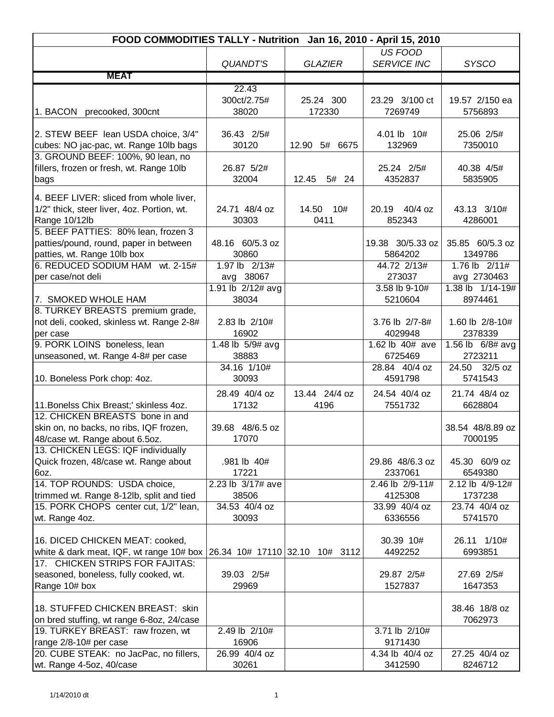| FOOD COMMODITIES TALLY - Nutrition Jan 16, 2010 - April 15, 2010            |                          |                |                             |                            |  |
|-----------------------------------------------------------------------------|--------------------------|----------------|-----------------------------|----------------------------|--|
|                                                                             |                          |                | US FOOD                     |                            |  |
|                                                                             | <b>QUANDT'S</b>          | <b>GLAZIER</b> | <b>SERVICE INC</b>          | <b>SYSCO</b>               |  |
| <b>MEAT</b>                                                                 |                          |                |                             |                            |  |
|                                                                             | 22.43                    |                |                             |                            |  |
|                                                                             | 300ct/2.75#              | 25.24 300      | 23.29 3/100 ct              | 19.57 2/150 ea             |  |
| 1. BACON precooked, 300cnt                                                  | 38020                    | 172330         | 7269749                     | 5756893                    |  |
|                                                                             |                          |                |                             |                            |  |
| 2. STEW BEEF lean USDA choice, 3/4"                                         | 36.43 2/5#<br>30120      | 12.90 5# 6675  | 4.01 lb 10#<br>132969       | 25.06 2/5#<br>7350010      |  |
| cubes: NO jac-pac, wt. Range 10lb bags<br>3. GROUND BEEF: 100%, 90 lean, no |                          |                |                             |                            |  |
| fillers, frozen or fresh, wt. Range 10lb                                    | 26.87 5/2#               |                | 25.24 2/5#                  | 40.38 4/5#                 |  |
| bags                                                                        | 32004                    | 12.45<br>5# 24 | 4352837                     | 5835905                    |  |
|                                                                             |                          |                |                             |                            |  |
| 4. BEEF LIVER: sliced from whole liver,                                     |                          |                |                             |                            |  |
| 1/2" thick, steer liver, 4oz. Portion, wt.                                  | 24.71 48/4 oz            | 14.50<br>10#   | $40/4$ oz<br>20.19          | 43.13 3/10#                |  |
| Range 10/12lb                                                               | 30303                    | 0411           | 852343                      | 4286001                    |  |
| 5. BEEF PATTIES: 80% lean, frozen 3                                         |                          |                |                             |                            |  |
| patties/pound, round, paper in between<br>patties, wt. Range 10lb box       | 48.16 60/5.3 oz<br>30860 |                | 19.38 30/5.33 oz<br>5864202 | 35.85 60/5.3 oz<br>1349786 |  |
| 6. REDUCED SODIUM HAM wt. 2-15#                                             | 1.97 lb 2/13#            |                | 44.72 2/13#                 | 1.76 lb 2/11#              |  |
| per case/not deli                                                           | avg 38067                |                | 273037                      | avg 2730463                |  |
|                                                                             | 1.91 lb 2/12# avg        |                | 3.58 lb 9-10#               | 1.38 lb 1/14-19#           |  |
| 7. SMOKED WHOLE HAM                                                         | 38034                    |                | 5210604                     | 8974461                    |  |
| 8. TURKEY BREASTS premium grade,                                            |                          |                |                             |                            |  |
| not deli, cooked, skinless wt. Range 2-8#                                   | 2.83 lb 2/10#            |                | 3.76 lb 2/7-8#              | 1.60 lb 2/8-10#            |  |
| per case                                                                    | 16902                    |                | 4029948                     | 2378339                    |  |
| 9. PORK LOINS boneless, lean                                                | 1.48 lb 5/9# avg         |                | 1.62 lb 40# ave             | 1.56 lb 6/8# avg           |  |
| unseasoned, wt. Range 4-8# per case                                         | 38883                    |                | 6725469                     | 2723211                    |  |
|                                                                             | $\overline{34.16}$ 1/10# |                | 28.84 40/4 oz               | 24.50 32/5 oz              |  |
| 10. Boneless Pork chop: 4oz.                                                | 30093                    |                | 4591798                     | 5741543                    |  |
|                                                                             | 28.49 40/4 oz            | 13.44 24/4 oz  | 24.54 40/4 oz               | 21.74 48/4 oz              |  |
| 11. Bonelss Chix Breast;' skinless 4oz.                                     | 17132                    | 4196           | 7551732                     | 6628804                    |  |
| 12. CHICKEN BREASTS bone in and                                             |                          |                |                             |                            |  |
| skin on, no backs, no ribs, IQF frozen,                                     | 39.68 48/6.5 oz          |                |                             | 38.54 48/8.89 oz           |  |
| 48/case wt. Range about 6.5oz.                                              | 17070                    |                |                             | 7000195                    |  |
| 13. CHICKEN LEGS: IQF individually<br>Quick frozen, 48/case wt. Range about | .981 lb 40#              |                | 29.86 48/6.3 oz             | 45.30 60/9 oz              |  |
| 6oz.                                                                        | 17221                    |                | 2337061                     | 6549380                    |  |
| 14. TOP ROUNDS: USDA choice,                                                | 2.23 lb 3/17# ave        |                | 2.46 lb 2/9-11#             | 2.12 lb 4/9-12#            |  |
| trimmed wt. Range 8-12lb, split and tied                                    | 38506                    |                | 4125308                     | 1737238                    |  |
| 15. PORK CHOPS center cut, 1/2" lean,                                       | 34.53 40/4 oz            |                | 33.99 40/4 oz               | 23.74 40/4 oz              |  |
| wt. Range 4oz.                                                              | 30093                    |                | 6336556                     | 5741570                    |  |
|                                                                             |                          |                |                             |                            |  |
| 16. DICED CHICKEN MEAT: cooked,                                             |                          |                | 30.39 10#                   | 26.11 1/10#                |  |
| white & dark meat, IQF, wt range 10# box                                    | 26.34 10# 17110 32.10    | 10# 3112       | 4492252                     | 6993851                    |  |
| 17. CHICKEN STRIPS FOR FAJITAS:                                             |                          |                |                             |                            |  |
| seasoned, boneless, fully cooked, wt.                                       | 39.03 2/5#               |                | 29.87 2/5#                  | 27.69 2/5#                 |  |
| Range 10# box                                                               | 29969                    |                | 1527837                     | 1647353                    |  |
| 18. STUFFED CHICKEN BREAST: skin                                            |                          |                |                             | 38.46 18/8 oz              |  |
| on bred stuffing, wt range 6-8oz, 24/case                                   |                          |                |                             | 7062973                    |  |
| 19. TURKEY BREAST: raw frozen, wt                                           | 2.49 lb 2/10#            |                | 3.71 lb 2/10#               |                            |  |
| range 2/8-10# per case                                                      | 16906                    |                | 9171430                     |                            |  |
| 20. CUBE STEAK: no JacPac, no fillers,                                      | 26.99 40/4 oz            |                | 4.34 lb 40/4 oz             | 27.25 40/4 oz              |  |
| wt. Range 4-5oz, 40/case                                                    | 30261                    |                | 3412590                     | 8246712                    |  |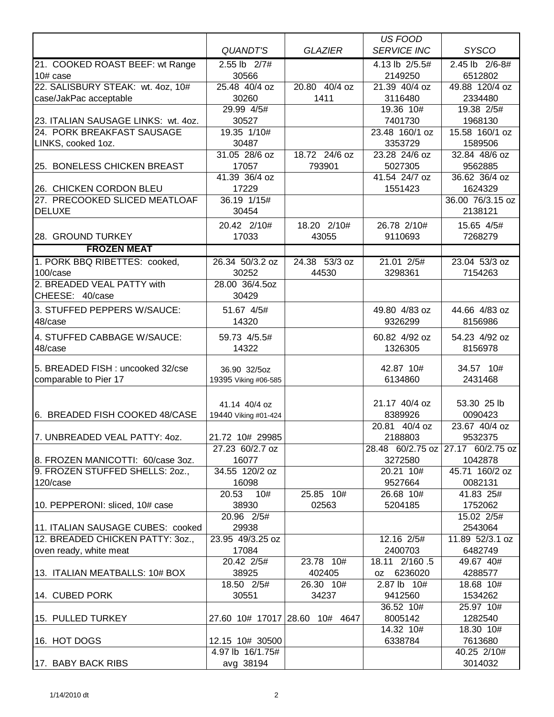|                                     |                        |                                | <b>US FOOD</b>            |                          |
|-------------------------------------|------------------------|--------------------------------|---------------------------|--------------------------|
|                                     | QUANDT'S               | <b>GLAZIER</b>                 | <b>SERVICE INC</b>        | <b>SYSCO</b>             |
| 21. COOKED ROAST BEEF: wt Range     | 2.55 lb 2/7#           |                                | 4.13 lb 2/5.5#            | 2.45 lb 2/6-8#           |
| $10#$ case                          | 30566                  |                                | 2149250                   | 6512802                  |
| 22. SALISBURY STEAK: wt. 4oz, 10#   | 25.48 40/4 oz          | 20.80 40/4 oz                  | 21.39 40/4 oz             | 49.88 120/4 oz           |
| case/JakPac acceptable              | 30260                  | 1411                           | 3116480                   | 2334480                  |
|                                     | 29.99 4/5#             |                                | 19.36 10#                 | 19.38 2/5#               |
| 23. ITALIAN SAUSAGE LINKS: wt. 4oz. | 30527                  |                                | 7401730                   | 1968130                  |
| 24. PORK BREAKFAST SAUSAGE          | 19.35 1/10#            |                                | 23.48 160/1 oz            | 15.58 160/1 oz           |
| LINKS, cooked 1oz.                  | 30487<br>31.05 28/6 oz | 18.72 24/6 oz                  | 3353729<br>23.28 24/6 oz  | 1589506                  |
| 25. BONELESS CHICKEN BREAST         | 17057                  | 793901                         | 5027305                   | 32.84 48/6 oz<br>9562885 |
|                                     | 41.39 36/4 oz          |                                | 41.54 24/7 oz             | 36.62 36/4 oz            |
| 26. CHICKEN CORDON BLEU             | 17229                  |                                | 1551423                   | 1624329                  |
| 27. PRECOOKED SLICED MEATLOAF       | 36.19 1/15#            |                                |                           | 36.00 76/3.15 oz         |
| DELUXE                              | 30454                  |                                |                           | 2138121                  |
|                                     | 20.42 2/10#            | 18.20 2/10#                    | 26.78 2/10#               | 15.65 4/5#               |
| 28. GROUND TURKEY                   | 17033                  | 43055                          | 9110693                   | 7268279                  |
| <b>FROZEN MEAT</b>                  |                        |                                |                           |                          |
| 1. PORK BBQ RIBETTES: cooked,       | 26.34 50/3.2 oz        | 24.38 53/3 oz                  | 21.01 2/5#                | 23.04 53/3 oz            |
| 100/case                            | 30252                  | 44530                          | 3298361                   | 7154263                  |
| 2. BREADED VEAL PATTY with          | 28.00 36/4.5oz         |                                |                           |                          |
| CHEESE: 40/case                     | 30429                  |                                |                           |                          |
| 3. STUFFED PEPPERS W/SAUCE:         | 51.67 4/5#             |                                | 49.80 4/83 oz             | 44.66 4/83 oz            |
| 48/case                             | 14320                  |                                | 9326299                   | 8156986                  |
| 4. STUFFED CABBAGE W/SAUCE:         | 59.73 4/5.5#           |                                | 60.82 4/92 oz             | 54.23 4/92 oz            |
| 48/case                             | 14322                  |                                | 1326305                   | 8156978                  |
|                                     |                        |                                |                           |                          |
| 5. BREADED FISH: uncooked 32/cse    | 36.90 32/5oz           |                                | 42.87 10#                 | 34.57 10#                |
| comparable to Pier 17               | 19395 Viking #06-585   |                                | 6134860                   | 2431468                  |
|                                     |                        |                                |                           |                          |
|                                     | 41.14 40/4 oz          |                                | 21.17 40/4 oz             | 53.30 25 lb              |
| 6. BREADED FISH COOKED 48/CASE      | 19440 Viking #01-424   |                                | 8389926<br>20.81 40/4 oz  | 0090423<br>23.67 40/4 oz |
| 7. UNBREADED VEAL PATTY: 40Z.       | 21.72 10# 29985        |                                | 2188803                   | 9532375                  |
|                                     | 27.23 60/2.7 oz        |                                | 28.48 60/2.75 oz          | 27.17 60/2.75 oz         |
| 8. FROZEN MANICOTTI: 60/case 3oz.   | 16077                  |                                | 3272580                   | 1042878                  |
| 9. FROZEN STUFFED SHELLS: 20Z.,     | 34.55 120/2 oz         |                                | 20.21 10#                 | 45.71 160/2 oz           |
| 120/case                            | 16098                  |                                | 9527664                   | 0082131                  |
|                                     | 20.53 10#              | 25.85 10#                      | 26.68 10#                 | 41.83 25#                |
| 10. PEPPERONI: sliced, 10# case     | 38930                  | 02563                          | 5204185                   | 1752062                  |
|                                     | 20.96 2/5#             |                                |                           | 15.02 2/5#               |
| 11. ITALIAN SAUSAGE CUBES: cooked   | 29938                  |                                |                           | 2543064                  |
| 12. BREADED CHICKEN PATTY: 30Z.,    | 23.95 49/3.25 oz       |                                | 12.16 2/5#                | 11.89 52/3.1 oz          |
| oven ready, white meat              | 17084                  |                                | 2400703                   | 6482749                  |
|                                     | 20.42 2/5#             | 23.78 10#                      | 18.11 2/160.5             | 49.67 40#                |
| 13. ITALIAN MEATBALLS: 10# BOX      | 38925<br>18.50 2/5#    | 402405<br>26.30 10#            | oz 6236020<br>2.87 lb 10# | 4288577<br>18.68 10#     |
| 14. CUBED PORK                      | 30551                  | 34237                          | 9412560                   | 1534262                  |
|                                     |                        |                                | 36.52 10#                 | 25.97 10#                |
| 15. PULLED TURKEY                   |                        | 27.60 10# 17017 28.60 10# 4647 | 8005142                   | 1282540                  |
|                                     |                        |                                | 14.32 10#                 | 18.30 10#                |
| 16. HOT DOGS                        | 12.15 10# 30500        |                                | 6338784                   | 7613680                  |
|                                     | 4.97 lb 16/1.75#       |                                |                           | 40.25 2/10#              |
| 17. BABY BACK RIBS                  | avg 38194              |                                |                           | 3014032                  |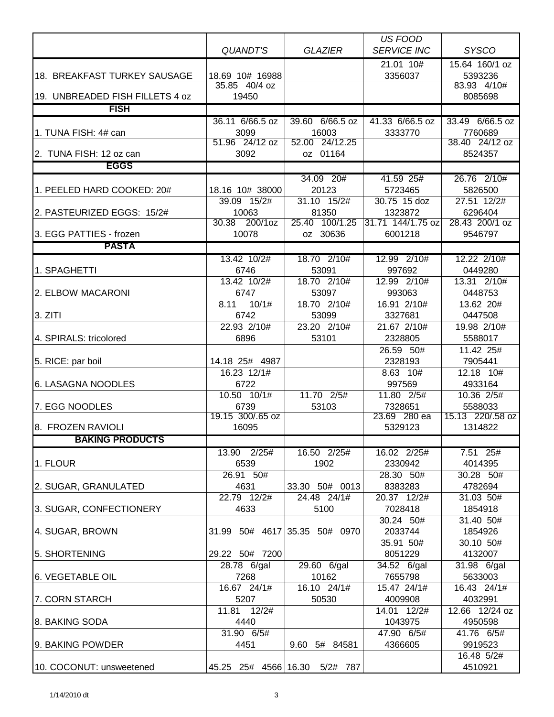|                                     |                           |                               | <b>US FOOD</b>          |                             |
|-------------------------------------|---------------------------|-------------------------------|-------------------------|-----------------------------|
|                                     | <b>QUANDT'S</b>           | <b>GLAZIER</b>                | <b>SERVICE INC</b>      | <b>SYSCO</b>                |
|                                     |                           |                               | $21.01 \ \ 10#$         | 15.64 160/1 oz              |
| <b>18. BREAKFAST TURKEY SAUSAGE</b> | 18.69 10# 16988           |                               | 3356037                 | 5393236                     |
|                                     | 35.85 40/4 oz             |                               |                         | 83.93 4/10#                 |
| 19. UNBREADED FISH FILLETS 4 oz     | 19450                     |                               |                         | 8085698                     |
| <b>FISH</b>                         |                           |                               |                         |                             |
|                                     | 36.11 6/66.5 oz           | 39.60 6/66.5 oz               | 41.33 6/66.5 oz         | 33.49 6/66.5 oz             |
| 1. TUNA FISH: 4# can                | 3099<br>51.96 24/12 oz    | 16003<br>52.00 24/12.25       | 3333770                 | 7760689<br>38.40 24/12 oz   |
| 2. TUNA FISH: 12 oz can             | 3092                      | oz 01164                      |                         | 8524357                     |
| <b>EGGS</b>                         |                           |                               |                         |                             |
|                                     |                           | 34.09 20#                     | 41.59 25#               | 26.76 2/10#                 |
| 1. PEELED HARD COOKED: 20#          | 18.16 10# 38000           | 20123                         | 5723465                 | 5826500                     |
|                                     | 39.09 15/2#               | 31.10 15/2#                   | 30.75 15 doz            | 27.51 12/2#                 |
| 2. PASTEURIZED EGGS: 15/2#          | 10063                     | 81350                         | 1323872                 | 6296404                     |
|                                     | 200/1oz<br>30.38          | 100/1.25<br>25.40             | 31.71 144/1.75 oz       | 28.43 200/1 oz              |
| 3. EGG PATTIES - frozen             | 10078                     | oz 30636                      | 6001218                 | 9546797                     |
| <b>PASTA</b>                        |                           |                               |                         |                             |
|                                     | 13.42 10/2#               | 18.70 2/10#                   | 12.99 2/10#             | 12.22 2/10#                 |
| 1. SPAGHETTI                        | 6746                      | 53091                         | 997692                  | 0449280                     |
|                                     | 13.42 10/2#               | 18.70 2/10#                   | 12.99 2/10#             | 13.31 2/10#                 |
| 2. ELBOW MACARONI                   | 6747                      | 53097                         | 993063                  | 0448753                     |
| 3. ZITI                             | 8.11<br>10/1#<br>6742     | 18.70 2/10#<br>53099          | 16.91 2/10#<br>3327681  | 13.62 20#<br>0447508        |
|                                     | 22.93 2/10#               | 23.20 2/10#                   | 21.67 2/10#             | 19.98 2/10#                 |
| 4. SPIRALS: tricolored              | 6896                      | 53101                         | 2328805                 | 5588017                     |
|                                     |                           |                               | 26.59 50#               | 11.42 25#                   |
| 5. RICE: par boil                   | 14.18 25# 4987            |                               | 2328193                 | 7905441                     |
|                                     | 16.23 12/1#               |                               | 8.63 10#                | 12.18 10#                   |
| 6. LASAGNA NOODLES                  | 6722                      |                               | 997569                  | 4933164                     |
|                                     | 10.50 10/1#               | 11.70 2/5#                    | 11.80 2/5#              | 10.36 2/5#                  |
| 7. EGG NOODLES                      | 6739                      | 53103                         | 7328651                 | 5588033                     |
| 8. FROZEN RAVIOLI                   | 19.15 300/.65 oz<br>16095 |                               | 23.69 280 ea<br>5329123 | 15.13 220/.58 oz<br>1314822 |
| <b>BAKING PRODUCTS</b>              |                           |                               |                         |                             |
|                                     |                           |                               |                         |                             |
| 1. FLOUR                            | 13.90 2/25#<br>6539       | 16.50 2/25#<br>1902           | 16.02 2/25#<br>2330942  | $7.51$ 25#<br>4014395       |
|                                     | $26.91$ 50#               |                               | 28.30 50#               | 30.28 50#                   |
| 2. SUGAR, GRANULATED                | 4631                      | 33.30 50# 0013                | 8383283                 | 4782694                     |
|                                     | 22.79 12/2#               | 24.48 24/1#                   | 20.37 12/2#             | 31.03 50#                   |
| 3. SUGAR, CONFECTIONERY             | 4633                      | 5100                          | 7028418                 | 1854918                     |
|                                     |                           |                               | 30.24 50#               | 31.40 50#                   |
| 4. SUGAR, BROWN                     |                           | 31.99 50# 4617 35.35 50# 0970 | 2033744                 | 1854926                     |
|                                     |                           |                               | 35.91 50#               | 30.10 50#                   |
| 5. SHORTENING                       | 29.22 50# 7200            |                               | 8051229                 | 4132007                     |
|                                     | 28.78 6/gal               | 29.60 6/gal                   | $34.52$ 6/gal           | 31.98 6/gal                 |
| <b>6. VEGETABLE OIL</b>             | 7268<br>16.67 24/1#       | 10162<br>16.10 24/1#          | 7655798<br>15.47 24/1#  | 5633003<br>16.43 24/1#      |
| 7. CORN STARCH                      | 5207                      | 50530                         | 4009908                 | 4032991                     |
|                                     | 11.81 12/2#               |                               | 14.01 12/2#             | 12.66 12/24 oz              |
| 8. BAKING SODA                      | 4440                      |                               | 1043975                 | 4950598                     |
|                                     | 31.90 6/5#                |                               | 47.90 6/5#              | 41.76 6/5#                  |
| 9. BAKING POWDER                    | 4451                      | 9.60<br>5# 84581              | 4366605                 | 9919523                     |
|                                     |                           |                               |                         | 16.48 5/2#                  |
| 10. COCONUT: unsweetened            | 45.25 25# 4566 16.30      | 5/2# 787                      |                         | 4510921                     |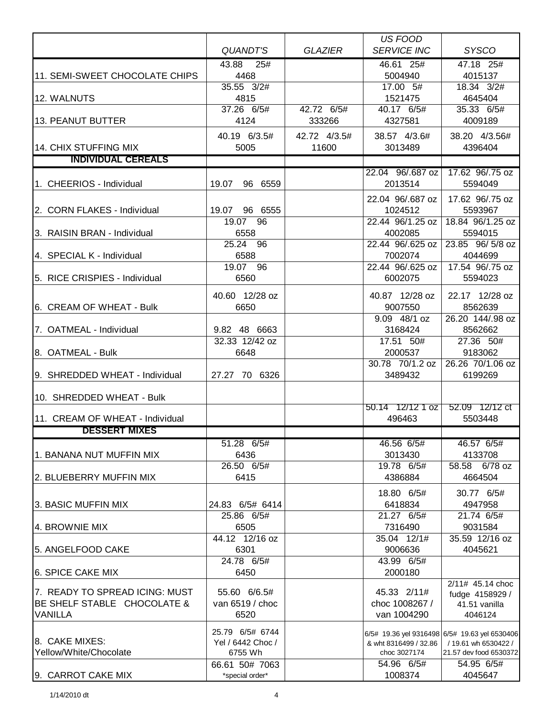|                                                    |                           |                | <b>US FOOD</b>              |                                               |
|----------------------------------------------------|---------------------------|----------------|-----------------------------|-----------------------------------------------|
|                                                    | QUANDT'S                  | <b>GLAZIER</b> | <b>SERVICE INC</b>          | <b>SYSCO</b>                                  |
|                                                    | 43.88 25#                 |                | 46.61 25#                   | 47.18 25#                                     |
| 11. SEMI-SWEET CHOCOLATE CHIPS                     | 4468                      |                | 5004940                     | 4015137                                       |
|                                                    | 35.55 3/2#                |                | 17.00 5#                    | 18.34 3/2#                                    |
| 12. WALNUTS                                        | 4815                      |                | 1521475                     | 4645404                                       |
|                                                    | 37.26 6/5#                | 42.72 6/5#     | 40.17 6/5#                  | 35.33 6/5#                                    |
| 13. PEANUT BUTTER                                  | 4124                      | 333266         | 4327581                     | 4009189                                       |
|                                                    | 40.19 6/3.5#              | 42.72 4/3.5#   | 38.57 4/3.6#                | 38.20 4/3.56#                                 |
| 14. CHIX STUFFING MIX<br><b>INDIVIDUAL CEREALS</b> | 5005                      | 11600          | 3013489                     | 4396404                                       |
|                                                    |                           |                |                             |                                               |
| 1. CHEERIOS - Individual                           | 19.07<br>96 6559          |                | 22.04 96/.687 oz<br>2013514 | 17.62 96/.75 oz<br>5594049                    |
|                                                    |                           |                |                             |                                               |
|                                                    |                           |                | 22.04 96/.687 oz            | 17.62 96/.75 oz                               |
| 2. CORN FLAKES - Individual                        | 19.07 96 6555<br>19.07 96 |                | 1024512<br>22.44 96/1.25 oz | 5593967<br>18.84 96/1.25 oz                   |
| 3. RAISIN BRAN - Individual                        | 6558                      |                | 4002085                     | 5594015                                       |
|                                                    | 25.24 96                  |                | 22.44 96/.625 oz            | 23.85 96/ 5/8 oz                              |
| 4. SPECIAL K - Individual                          | 6588                      |                | 7002074                     | 4044699                                       |
|                                                    | 19.07 96                  |                | 22.44 96/.625 oz            | 17.54 96/.75 oz                               |
| 5. RICE CRISPIES - Individual                      | 6560                      |                | 6002075                     | 5594023                                       |
|                                                    | 40.60 12/28 oz            |                |                             | 22.17 12/28 oz                                |
| 6. CREAM OF WHEAT - Bulk                           | 6650                      |                | 40.87 12/28 oz<br>9007550   | 8562639                                       |
|                                                    |                           |                | 9.09 48/1 oz                | 26.20 144/.98 oz                              |
| 7. OATMEAL - Individual                            | 9.82 48 6663              |                | 3168424                     | 8562662                                       |
|                                                    | 32.33 12/42 oz            |                | 17.51 50#                   | $\overline{27.36}$ 50#                        |
| 8. OATMEAL - Bulk                                  | 6648                      |                | 2000537                     | 9183062                                       |
|                                                    |                           |                | 30.78 70/1.2 oz             | 26.26 70/1.06 oz                              |
| 9. SHREDDED WHEAT - Individual                     | 27.27 70 6326             |                | 3489432                     | 6199269                                       |
| 10. SHREDDED WHEAT - Bulk                          |                           |                |                             |                                               |
|                                                    |                           |                | 50.14 12/12 1 oz            | 52.09 12/12 ct                                |
| 11. CREAM OF WHEAT - Individual                    |                           |                | 496463                      | 5503448                                       |
| <b>DESSERT MIXES</b>                               |                           |                |                             |                                               |
|                                                    | 51.28 6/5#                |                | 46.56 6/5#                  | 46.57 6/5#                                    |
| 1. BANANA NUT MUFFIN MIX                           | 6436                      |                | 3013430                     | 4133708                                       |
|                                                    | $\overline{26.50}$ 6/5#   |                | 19.78 6/5#                  | 58.58 6/78 oz                                 |
| 2. BLUEBERRY MUFFIN MIX                            | 6415                      |                | 4386884                     | 4664504                                       |
|                                                    |                           |                | 18.80 6/5#                  | 30.77 6/5#                                    |
| 3. BASIC MUFFIN MIX                                | 24.83 6/5# 6414           |                | 6418834                     | 4947958                                       |
|                                                    | 25.86 6/5#                |                | 21.27 6/5#                  | 21.74 6/5#                                    |
| 4. BROWNIE MIX                                     | 6505                      |                | 7316490                     | 9031584                                       |
|                                                    | 44.12 12/16 oz            |                | 35.04 12/1#                 | 35.59 12/16 oz                                |
| 5. ANGELFOOD CAKE                                  | 6301<br>24.78 6/5#        |                | 9006636                     | 4045621                                       |
| <b>6. SPICE CAKE MIX</b>                           | 6450                      |                | 43.99 6/5#<br>2000180       |                                               |
|                                                    |                           |                |                             | 2/11# 45.14 choc                              |
| 7. READY TO SPREAD ICING: MUST                     | 55.60 6/6.5#              |                | 45.33 2/11#                 | fudge 4158929 /                               |
| BE SHELF STABLE CHOCOLATE &                        | van 6519 / choc           |                | choc 1008267 /              | 41.51 vanilla                                 |
| <b>VANILLA</b>                                     | 6520                      |                | van 1004290                 | 4046124                                       |
|                                                    | 25.79 6/5# 6744           |                |                             | 6/5# 19.36 yel 9316498 6/5# 19.63 yel 6530406 |
| 8. CAKE MIXES:                                     | Yel / 6442 Choc /         |                | & wht 8316499 / 32.86       | / 19.61 wh 6530422 /                          |
| Yellow/White/Chocolate                             | 6755 Wh                   |                | choc 3027174                | 21.57 dev food 6530372                        |
|                                                    | 66.61 50# 7063            |                | 54.96 6/5#                  | 54.95 6/5#                                    |
| 9. CARROT CAKE MIX                                 | *special order*           |                | 1008374                     | 4045647                                       |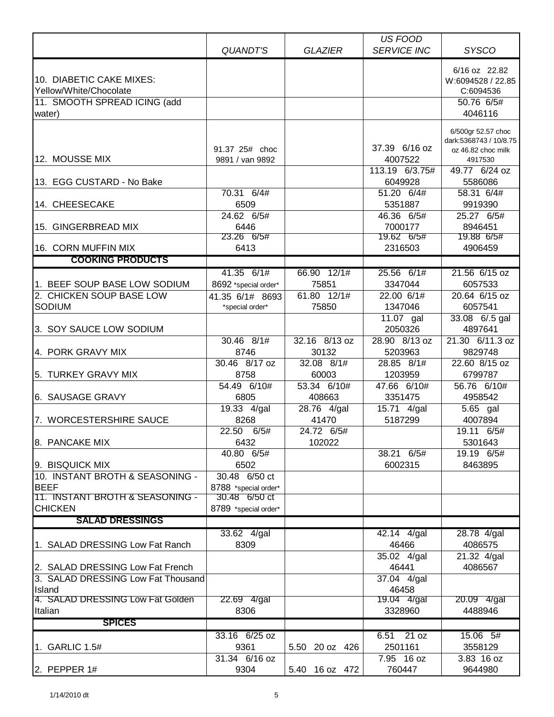|                                    |                      |                | US FOOD            |                        |
|------------------------------------|----------------------|----------------|--------------------|------------------------|
|                                    | QUANDT'S             | <b>GLAZIER</b> | <b>SERVICE INC</b> | <b>SYSCO</b>           |
|                                    |                      |                |                    |                        |
|                                    |                      |                |                    | 6/16 oz 22.82          |
| 10. DIABETIC CAKE MIXES:           |                      |                |                    | W:6094528 / 22.85      |
| Yellow/White/Chocolate             |                      |                |                    | C:6094536              |
| 11. SMOOTH SPREAD ICING (add       |                      |                |                    | 50.76 6/5#             |
| water)                             |                      |                |                    | 4046116                |
|                                    |                      |                |                    | 6/500gr 52.57 choc     |
|                                    |                      |                |                    | dark:5368743 / 10/8.75 |
|                                    | 91.37 25# choc       |                | 37.39 6/16 oz      | oz 46.82 choc milk     |
| 12. MOUSSE MIX                     | 9891 / van 9892      |                | 4007522            | 4917530                |
|                                    |                      |                | 113.19 6/3.75#     | 49.77 6/24 oz          |
| 13. EGG CUSTARD - No Bake          |                      |                | 6049928            | 5586086                |
|                                    | 70.31 6/4#           |                | 51.20 6/4#         | 58.31 6/4#             |
| 14. CHEESECAKE                     | 6509                 |                | 5351887            | 9919390                |
|                                    | 24.62 6/5#           |                | 46.36 6/5#         | 25.27 6/5#             |
| 15. GINGERBREAD MIX                | 6446                 |                | 7000177            | 8946451                |
|                                    | 23.26 6/5#           |                | 19.62 6/5#         | 19.88 6/5#             |
| 16. CORN MUFFIN MIX                | 6413                 |                | 2316503            | 4906459                |
| <b>COOKING PRODUCTS</b>            |                      |                |                    |                        |
|                                    | $41.35$ 6/1#         | 66.90 12/1#    | $25.56$ 6/1#       | 21.56 6/15 oz          |
| 1. BEEF SOUP BASE LOW SODIUM       | 8692 *special order* | 75851          | 3347044            | 6057533                |
| 2. CHICKEN SOUP BASE LOW           | 41.35 6/1# 8693      | 61.80 12/1#    | 22.00 6/1#         | 20.64 6/15 oz          |
| <b>SODIUM</b>                      | *special order*      | 75850          | 1347046            | 6057541                |
|                                    |                      |                | 11.07 gal          | 33.08 6/.5 gal         |
| 3. SOY SAUCE LOW SODIUM            |                      |                | 2050326            | 4897641                |
|                                    | 30.46 8/1#           | 32.16 8/13 oz  | 28.90 8/13 oz      | 21.30 6/11.3 oz        |
| 4. PORK GRAVY MIX                  | 8746                 | 30132          | 5203963            | 9829748                |
|                                    | 30.46 8/17 oz        | 32.08 8/1#     | 28.85 $8/1#$       | 22.60 8/15 oz          |
| 5. TURKEY GRAVY MIX                | 8758                 | 60003          | 1203959            | 6799787                |
|                                    | 54.49 6/10#          | 53.34 6/10#    | 47.66 6/10#        | 56.76 6/10#            |
| 6. SAUSAGE GRAVY                   | 6805                 | 408663         | 3351475            | 4958542                |
|                                    | 19.33 4/gal          | 28.76 4/gal    | 15.71 4/gal        | 5.65 gal               |
| 7. WORCESTERSHIRE SAUCE            | 8268                 | 41470          | 5187299            | 4007894                |
|                                    | 22.50 6/5#           | 24.72 6/5#     |                    | 19.11 6/5#             |
| 8. PANCAKE MIX                     | 6432                 | 102022         |                    | 5301643                |
|                                    | 40.80 6/5#           |                | 38.21 6/5#         | 19.19 6/5#             |
| 9. BISQUICK MIX                    | 6502                 |                | 6002315            | 8463895                |
| 10. INSTANT BROTH & SEASONING -    | 30.48 6/50 ct        |                |                    |                        |
| <b>BEEF</b>                        | 8788 *special order* |                |                    |                        |
| 11. INSTANT BROTH & SEASONING -    | 30.48 6/50 ct        |                |                    |                        |
| <b>CHICKEN</b>                     | 8789 *special order* |                |                    |                        |
| <b>SALAD DRESSINGS</b>             |                      |                |                    |                        |
|                                    | 33.62 4/gal          |                | 42.14 4/gal        | 28.78 4/gal            |
| 1. SALAD DRESSING Low Fat Ranch    | 8309                 |                | 46466              | 4086575                |
|                                    |                      |                | 35.02 4/gal        | 21.32 4/gal            |
| 2. SALAD DRESSING Low Fat French   |                      |                | 46441              | 4086567                |
| 3. SALAD DRESSING Low Fat Thousand |                      |                | 37.04 4/gal        |                        |
| Island                             |                      |                | 46458              |                        |
| 4. SALAD DRESSING Low Fat Golden   | 22.69 4/gal          |                | 19.04 4/gal        | 20.09 4/gal            |
| Italian                            | 8306                 |                | 3328960            | 4488946                |
| <b>SPICES</b>                      |                      |                |                    |                        |
|                                    | 33.16 6/25 oz        |                | 21 oz<br>6.51      | 15.06 5#               |
| 1. GARLIC 1.5#                     | 9361                 |                | 2501161            | 3558129                |
|                                    | 31.34 6/16 oz        | 5.50 20 oz 426 | 7.95 16 oz         | 3.83 16 oz             |
|                                    | 9304                 |                | 760447             | 9644980                |
| 2. PEPPER $1#$                     |                      | 5.40 16 oz 472 |                    |                        |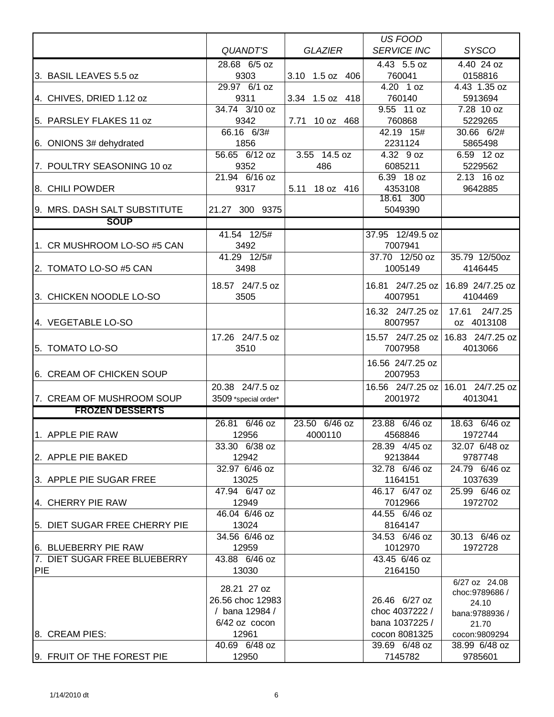|                               |                        |                       | <b>US FOOD</b>                  |                                   |
|-------------------------------|------------------------|-----------------------|---------------------------------|-----------------------------------|
|                               | <b>QUANDT'S</b>        | <b>GLAZIER</b>        | <b>SERVICE INC</b>              | <b>SYSCO</b>                      |
|                               | 28.68 6/5 oz           |                       | 4.43 5.5 oz                     | 4.40 24 oz                        |
| 3. BASIL LEAVES 5.5 oz        | 9303                   | 3.10 1.5 oz 406       | 760041                          | 0158816                           |
|                               | 29.97 6/1 oz           |                       | 4.20 1 oz                       | 4.43 1.35 oz                      |
| 4. CHIVES, DRIED 1.12 oz      | 9311                   | 3.34 1.5 oz 418       | 760140                          | 5913694                           |
|                               | 34.74 3/10 oz          |                       | 9.55 11 oz                      | 7.28 10 oz                        |
| 5. PARSLEY FLAKES 11 oz       | 9342                   | 7.71<br>10 oz 468     | 760868                          | 5229265                           |
|                               | 66.16 6/3#             |                       | 42.19 15#                       | 30.66 6/2#                        |
| 6. ONIONS 3# dehydrated       | 1856                   |                       | 2231124                         | 5865498                           |
| 7. POULTRY SEASONING 10 oz    | 56.65 6/12 oz<br>9352  | $3.55$ 14.5 oz<br>486 | 4.32 9 oz<br>6085211            | 6.59 12 oz<br>5229562             |
|                               | 21.94 6/16 oz          |                       | 6.39 18 oz                      | 2.13 16 oz                        |
| 8. CHILI POWDER               | 9317                   | 5.11 18 oz 416        | 4353108                         | 9642885                           |
|                               |                        |                       | 18.61 300                       |                                   |
| 9. MRS. DASH SALT SUBSTITUTE  | 21.27 300 9375         |                       | 5049390                         |                                   |
| <b>SOUP</b>                   |                        |                       |                                 |                                   |
|                               | 41.54 12/5#            |                       | 37.95 12/49.5 oz                |                                   |
| 1. CR MUSHROOM LO-SO #5 CAN   | 3492                   |                       | 7007941                         |                                   |
|                               | 41.29 12/5#            |                       | 37.70 12/50 oz                  | 35.79 12/50oz                     |
| 2. TOMATO LO-SO #5 CAN        | 3498                   |                       | 1005149                         | 4146445                           |
|                               | 18.57 24/7.5 oz        |                       | 16.81 24/7.25 oz                | 16.89 24/7.25 oz                  |
| 3. CHICKEN NOODLE LO-SO       | 3505                   |                       | 4007951                         | 4104469                           |
|                               |                        |                       | 16.32 24/7.25 oz                | 24/7.25<br>17.61                  |
| 4. VEGETABLE LO-SO            |                        |                       | 8007957                         | oz 4013108                        |
|                               | 17.26 24/7.5 oz        |                       | 15.57 24/7.25 oz                | 16.83 24/7.25 oz                  |
| 5. TOMATO LO-SO               | 3510                   |                       | 7007958                         | 4013066                           |
|                               |                        |                       | 16.56 24/7.25 oz                |                                   |
| 6. CREAM OF CHICKEN SOUP      |                        |                       | 2007953                         |                                   |
|                               | 20.38 24/7.5 oz        |                       |                                 | 16.56 24/7.25 oz 16.01 24/7.25 oz |
| 7. CREAM OF MUSHROOM SOUP     | 3509 *special order*   |                       | 2001972                         | 4013041                           |
| <b>FROZEN DESSERTS</b>        |                        |                       |                                 |                                   |
|                               | 26.81 6/46 oz          | 23.50 6/46 oz         | 23.88 6/46 oz                   | 18.63 6/46 oz                     |
| 1. APPLE PIE RAW              | 12956                  | 4000110               | 4568846                         | 1972744                           |
|                               | 33.30 6/38 oz          |                       | 28.39 4/45 oz                   | 32.07 6/48 oz                     |
| 2. APPLE PIE BAKED            | 12942                  |                       | 9213844                         | 9787748                           |
|                               | 32.97 6/46 oz          |                       | 32.78 6/46 oz                   | 24.79 6/46 oz                     |
| 3. APPLE PIE SUGAR FREE       | 13025                  |                       | 1164151                         | 1037639                           |
|                               | 47.94 6/47 oz          |                       | 46.17 6/47 oz                   | 25.99 6/46 oz                     |
| 4. CHERRY PIE RAW             | 12949                  |                       | 7012966                         | 1972702                           |
|                               | 46.04 6/46 oz          |                       | 44.55 6/46 oz                   |                                   |
| 5. DIET SUGAR FREE CHERRY PIE | 13024<br>34.56 6/46 oz |                       | 8164147<br>34.53 6/46 oz        | 30.13 6/46 oz                     |
| 6. BLUEBERRY PIE RAW          | 12959                  |                       | 1012970                         | 1972728                           |
| 7. DIET SUGAR FREE BLUEBERRY  | 43.88 6/46 oz          |                       | 43.45 6/46 oz                   |                                   |
| <b>PIE</b>                    | 13030                  |                       | 2164150                         |                                   |
|                               |                        |                       |                                 | 6/27 oz 24.08                     |
|                               | 28.21 27 oz            |                       |                                 | choc: 9789686 /                   |
|                               | 26.56 choc 12983       |                       | 26.46 6/27 oz                   | 24.10                             |
|                               | / bana 12984 /         |                       | choc 4037222 /                  | bana:9788936 /                    |
| 8. CREAM PIES:                | 6/42 oz cocon<br>12961 |                       | bana 1037225 /<br>cocon 8081325 | 21.70<br>cocon:9809294            |
|                               | 40.69 6/48 oz          |                       | 39.69 6/48 oz                   | 38.99 6/48 oz                     |
| 9. FRUIT OF THE FOREST PIE    | 12950                  |                       | 7145782                         | 9785601                           |
|                               |                        |                       |                                 |                                   |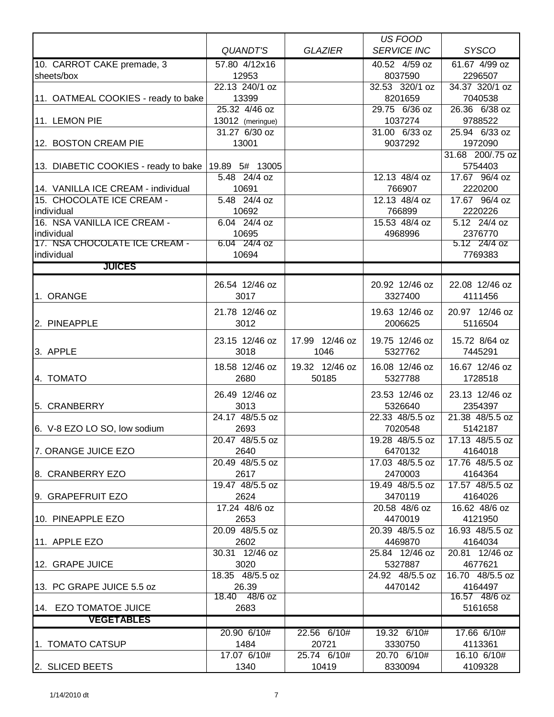|                                      |                        |                | US FOOD            |                          |
|--------------------------------------|------------------------|----------------|--------------------|--------------------------|
|                                      | <b>QUANDT'S</b>        | <b>GLAZIER</b> | <b>SERVICE INC</b> | <b>SYSCO</b>             |
| 10. CARROT CAKE premade, 3           | 57.80 4/12x16          |                | 40.52 4/59 oz      | 61.67 4/99 oz            |
| sheets/box                           | 12953                  |                | 8037590            | 2296507                  |
|                                      | 22.13 240/1 oz         |                | 32.53 320/1 oz     | 34.37 320/1 oz           |
| 11. OATMEAL COOKIES - ready to bake  | 13399                  |                | 8201659            | 7040538                  |
|                                      | 25.32 4/46 oz          |                | 29.75 6/36 oz      | 26.36 6/38 oz            |
| 11. LEMON PIE                        | 13012 (meringue)       |                | 1037274            | 9788522                  |
|                                      | 31.27 6/30 oz          |                | 31.00 6/33 oz      | 25.94 6/33 oz            |
| 12. BOSTON CREAM PIE                 | 13001                  |                | 9037292            | 1972090                  |
|                                      |                        |                |                    | 31.68 200/.75 oz         |
|                                      |                        |                |                    |                          |
| 13. DIABETIC COOKIES - ready to bake | 19.89 5# 13005         |                |                    | 5754403                  |
|                                      | 5.48 24/4 oz           |                | 12.13 48/4 oz      | 17.67 96/4 oz            |
| 14. VANILLA ICE CREAM - individual   | 10691                  |                | 766907             | 2220200                  |
| 15. CHOCOLATE ICE CREAM -            | 5.48 24/4 oz           |                | 12.13 48/4 oz      | 17.67 96/4 oz            |
| individual                           | 10692                  |                | 766899             | 2220226                  |
| 16. NSA VANILLA ICE CREAM -          | 6.04 24/4 oz           |                | 15.53 48/4 oz      | 5.12 24/4 oz             |
| individual                           | 10695                  |                | 4968996            | 2376770                  |
| 17. NSA CHOCOLATE ICE CREAM -        | 6.04 24/4 oz           |                |                    | 5.12 24/4 oz             |
| individual                           | 10694                  |                |                    | 7769383                  |
| <b>JUICES</b>                        |                        |                |                    |                          |
|                                      | 26.54 12/46 oz         |                | 20.92 12/46 oz     | 22.08 12/46 oz           |
| 1. ORANGE                            | 3017                   |                | 3327400            | 4111456                  |
|                                      |                        |                |                    |                          |
|                                      | 21.78 12/46 oz         |                | 19.63 12/46 oz     | 20.97 12/46 oz           |
| 2. PINEAPPLE                         | 3012                   |                | 2006625            | 5116504                  |
|                                      | 23.15 12/46 oz         | 17.99 12/46 oz | 19.75 12/46 oz     | 15.72 8/64 oz            |
| 3. APPLE                             | 3018                   | 1046           | 5327762            | 7445291                  |
|                                      |                        |                |                    |                          |
|                                      | 18.58 12/46 oz         | 19.32 12/46 oz | 16.08 12/46 oz     | 16.67 12/46 oz           |
| 4. TOMATO                            | 2680                   | 50185          | 5327788            | 1728518                  |
|                                      | 26.49 12/46 oz         |                | 23.53 12/46 oz     | 23.13 12/46 oz           |
| 5. CRANBERRY                         | 3013                   |                | 5326640            | 2354397                  |
|                                      | 24.17 48/5.5 oz        |                | 22.33 48/5.5 oz    | 21.38 48/5.5 oz          |
| 6. V-8 EZO LO SO, low sodium         | 2693                   |                | 7020548            | 5142187                  |
|                                      | 20.47 48/5.5 oz        |                | 19.28 48/5.5 oz    | 17.13 48/5.5 oz          |
| 7. ORANGE JUICE EZO                  | 2640                   |                | 6470132            | 4164018                  |
|                                      | 20.49 48/5.5 oz        |                | 17.03 48/5.5 oz    | 17.76 48/5.5 oz          |
| 8. CRANBERRY EZO                     | 2617                   |                | 2470003            | 4164364                  |
|                                      | 19.47 48/5.5 oz        |                | 19.49 48/5.5 oz    | 17.57 48/5.5 oz          |
| 9. GRAPEFRUIT EZO                    | 2624                   |                | 3470119            | 4164026                  |
|                                      | 17.24 48/6 oz          |                | 20.58 48/6 oz      | 16.62 48/6 oz            |
| 10. PINEAPPLE EZO                    | 2653                   |                | 4470019            | 4121950                  |
|                                      | 20.09 48/5.5 oz        |                | 20.39 48/5.5 oz    | 16.93 48/5.5 oz          |
| 11. APPLE EZO                        | 2602                   |                | 4469870            | 4164034                  |
|                                      | 30.31 12/46 oz         |                | 25.84 12/46 oz     | 20.81 12/46 oz           |
|                                      |                        |                |                    |                          |
| 12. GRAPE JUICE                      | 3020                   |                | 5327887            | 4677621                  |
|                                      | 18.35 48/5.5 oz        |                | 24.92 48/5.5 oz    | 16.70 48/5.5 oz          |
| 13. PC GRAPE JUICE 5.5 oz            | 26.39<br>18.40 48/6 oz |                | 4470142            | 4164497<br>16.57 48/6 oz |
| 14. EZO TOMATOE JUICE                | 2683                   |                |                    | 5161658                  |
|                                      |                        |                |                    |                          |
| <b>VEGETABLES</b>                    |                        |                |                    |                          |
|                                      | 20.90 6/10#            | 22.56 6/10#    | 19.32 6/10#        | 17.66 6/10#              |
| 1. TOMATO CATSUP                     | 1484                   | 20721          | 3330750            | 4113361                  |
|                                      | 17.07 6/10#            | 25.74 6/10#    | 20.70 6/10#        | 16.10 6/10#              |
| 2. SLICED BEETS                      | 1340                   | 10419          | 8330094            | 4109328                  |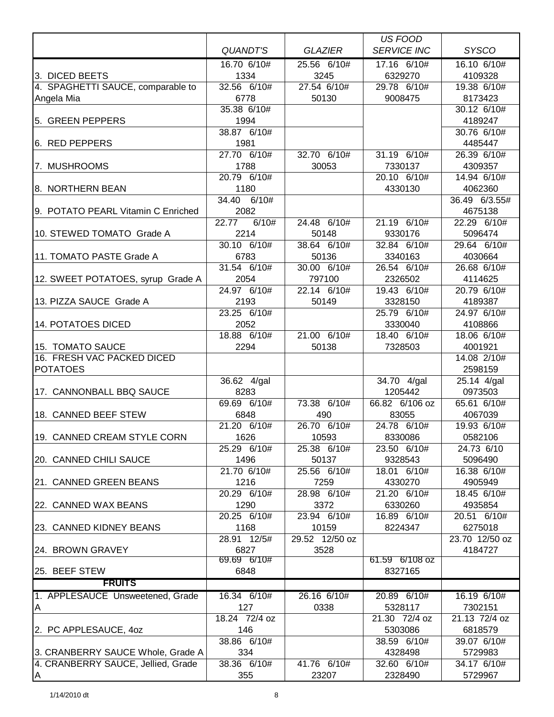|                                    |                          |                      | US FOOD                  |                        |
|------------------------------------|--------------------------|----------------------|--------------------------|------------------------|
|                                    | <b>QUANDT'S</b>          | <b>GLAZIER</b>       | <b>SERVICE INC</b>       | <b>SYSCO</b>           |
|                                    | 16.70 6/10#              | 25.56 6/10#          | 17.16 6/10#              | 16.10 6/10#            |
| 3. DICED BEETS                     | 1334                     | 3245                 | 6329270                  | 4109328                |
| 4. SPAGHETTI SAUCE, comparable to  | 32.56 6/10#              | 27.54 6/10#          | 29.78 6/10#              | 19.38 6/10#            |
| Angela Mia                         | 6778                     | 50130                | 9008475                  | 8173423                |
|                                    | 35.38 6/10#              |                      |                          | 30.12 6/10#            |
| 5. GREEN PEPPERS                   | 1994                     |                      |                          | 4189247                |
|                                    | 38.87 6/10#              |                      |                          | 30.76 6/10#            |
| 6. RED PEPPERS                     | 1981<br>27.70 6/10#      | 32.70 6/10#          | 31.19 6/10#              | 4485447<br>26.39 6/10# |
| 7. MUSHROOMS                       | 1788                     | 30053                | 7330137                  | 4309357                |
|                                    | 20.79 6/10#              |                      | 20.10 6/10#              | 14.94 6/10#            |
| 8. NORTHERN BEAN                   | 1180                     |                      | 4330130                  | 4062360                |
|                                    | 34.40 6/10#              |                      |                          | 36.49 6/3.55#          |
| 9. POTATO PEARL Vitamin C Enriched | 2082                     |                      |                          | 4675138                |
|                                    | 6/10#<br>22.77           | 24.48 6/10#          | 21.19 6/10#              | 22.29 6/10#            |
| 10. STEWED TOMATO Grade A          | 2214                     | 50148                | 9330176                  | 5096474                |
|                                    | 30.10 6/10#              | 38.64 6/10#          | 32.84 6/10#              | 29.64 6/10#            |
| 11. TOMATO PASTE Grade A           | 6783                     | 50136                | 3340163                  | 4030664                |
|                                    | 31.54 6/10#              | 30.00 6/10#          | 26.54 6/10#              | 26.68 6/10#            |
| 12. SWEET POTATOES, syrup Grade A  | 2054                     | 797100               | 2326502                  | 4114625                |
|                                    | 24.97 6/10#              | 22.14 6/10#          | 19.43 6/10#              | 20.79 6/10#            |
| 13. PIZZA SAUCE Grade A            | 2193                     | 50149                | 3328150                  | 4189387                |
|                                    | $23.25$ 6/10#            |                      | 25.79 6/10#              | 24.97 6/10#            |
| 14. POTATOES DICED                 | 2052                     |                      | 3330040                  | 4108866                |
| 15. TOMATO SAUCE                   | 18.88 6/10#<br>2294      | 21.00 6/10#<br>50138 | 18.40 6/10#<br>7328503   | 18.06 6/10#<br>4001921 |
| 16. FRESH VAC PACKED DICED         |                          |                      |                          | 14.08 2/10#            |
| <b>POTATOES</b>                    |                          |                      |                          | 2598159                |
|                                    | $\overline{36.62}$ 4/gal |                      | $\overline{34.70}$ 4/gal | 25.14 4/gal            |
| 17. CANNONBALL BBQ SAUCE           | 8283                     |                      | 1205442                  | 0973503                |
|                                    | 69.69 6/10#              | 73.38 6/10#          | 66.82 6/106 oz           | 65.61 6/10#            |
| 18. CANNED BEEF STEW               | 6848                     | 490                  | 83055                    | 4067039                |
|                                    | 21.20 6/10#              | 26.70 6/10#          | 24.78 6/10#              | 19.93 6/10#            |
| 19. CANNED CREAM STYLE CORN        | 1626                     | 10593                | 8330086                  | 0582106                |
|                                    | 25.29 6/10#              | 25.38 6/10#          | 23.50 6/10#              | 24.73 6/10             |
| 20. CANNED CHILI SAUCE             | 1496                     | 50137                | 9328543                  | 5096490                |
|                                    | 21.70 6/10#              | 25.56 6/10#          | 18.01 6/10#              | 16.38 6/10#            |
| 21. CANNED GREEN BEANS             | 1216                     | 7259                 | 4330270                  | 4905949                |
|                                    | 20.29 6/10#              | 28.98 6/10#          | 21.20 6/10#              | 18.45 6/10#            |
| 22. CANNED WAX BEANS               | 1290<br>20.25 6/10#      | 3372<br>23.94 6/10#  | 6330260<br>16.89 6/10#   | 4935854<br>20.51 6/10# |
| 23. CANNED KIDNEY BEANS            | 1168                     | 10159                | 8224347                  | 6275018                |
|                                    | 28.91 12/5#              | 29.52 12/50 oz       |                          | 23.70 12/50 oz         |
| 24. BROWN GRAVEY                   | 6827                     | 3528                 |                          | 4184727                |
|                                    | 69.69 6/10#              |                      | 61.59 6/108 oz           |                        |
| 25. BEEF STEW                      | 6848                     |                      | 8327165                  |                        |
| <b>FRUITS</b>                      |                          |                      |                          |                        |
| 1. APPLESAUCE Unsweetened, Grade   | 16.34 6/10#              | 26.16 6/10#          | 20.89 6/10#              | 16.19 6/10#            |
| IA.                                | 127                      | 0338                 | 5328117                  | 7302151                |
|                                    | 18.24 72/4 oz            |                      | 21.30 72/4 oz            | 21.13 72/4 oz          |
| 2. PC APPLESAUCE, 40Z              | 146                      |                      | 5303086                  | 6818579                |
|                                    | 38.86 6/10#              |                      | 38.59 6/10#              | 39.07 6/10#            |
| 3. CRANBERRY SAUCE Whole, Grade A  | 334                      |                      | 4328498                  | 5729983                |
| 4. CRANBERRY SAUCE, Jellied, Grade | 38.36 6/10#              | 41.76 6/10#          | 32.60 6/10#              | 34.17 6/10#            |
| A                                  | 355                      | 23207                | 2328490                  | 5729967                |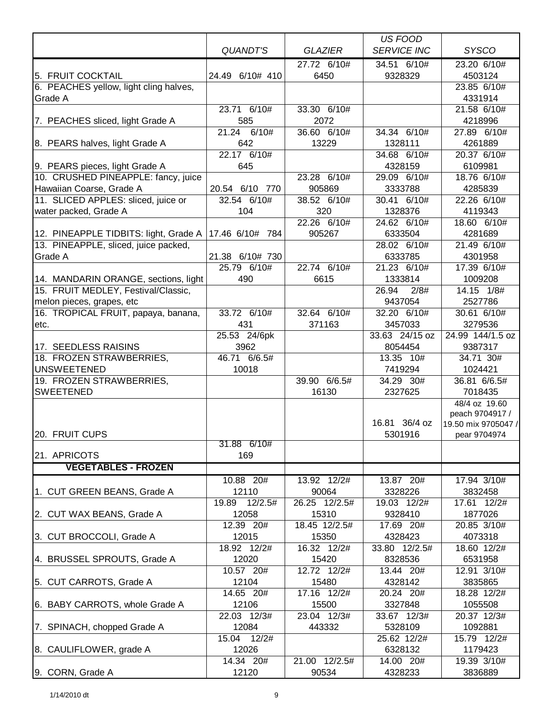|                                        |                 |                | US FOOD                  |                     |
|----------------------------------------|-----------------|----------------|--------------------------|---------------------|
|                                        | QUANDT'S        | <b>GLAZIER</b> | <b>SERVICE INC</b>       | <b>SYSCO</b>        |
|                                        |                 | 27.72 6/10#    | 34.51 6/10#              | 23.20 6/10#         |
| 5. FRUIT COCKTAIL                      | 24.49 6/10# 410 | 6450           | 9328329                  | 4503124             |
| 6. PEACHES yellow, light cling halves, |                 |                |                          | 23.85 6/10#         |
| Grade A                                |                 |                |                          | 4331914             |
|                                        | 23.71 6/10#     | 33.30 6/10#    |                          | 21.58 6/10#         |
| 7. PEACHES sliced, light Grade A       | 585             | 2072           |                          | 4218996             |
|                                        | 21.24 6/10#     | 36.60 6/10#    | 34.34 6/10#              | 27.89 6/10#         |
| 8. PEARS halves, light Grade A         | 642             | 13229          | 1328111                  | 4261889             |
|                                        | 22.17 6/10#     |                | 34.68 6/10#              | 20.37 6/10#         |
| 9. PEARS pieces, light Grade A         | 645             |                | 4328159                  | 6109981             |
| 10. CRUSHED PINEAPPLE: fancy, juice    |                 | 23.28 6/10#    | $\overline{29.09}$ 6/10# | 18.76 6/10#         |
| Hawaiian Coarse, Grade A               | 20.54 6/10 770  | 905869         | 3333788                  | 4285839             |
| 11. SLICED APPLES: sliced, juice or    | 32.54 6/10#     | 38.52 6/10#    | 30.41 6/10#              | 22.26 6/10#         |
| water packed, Grade A                  | 104             | 320            | 1328376                  | 4119343             |
|                                        |                 | 22.26 6/10#    | 24.62 6/10#              | 18.60 6/10#         |
| 12. PINEAPPLE TIDBITS: light, Grade A  | 17.46 6/10# 784 | 905267         | 6333504                  | 4281689             |
| 13. PINEAPPLE, sliced, juice packed,   |                 |                | 28.02 6/10#              | 21.49 6/10#         |
| Grade A                                | 21.38 6/10# 730 |                | 6333785                  | 4301958             |
|                                        | 25.79 6/10#     | 22.74 6/10#    | 21.23 6/10#              | 17.39 6/10#         |
| 14. MANDARIN ORANGE, sections, light   | 490             | 6615           | 1333814                  | 1009208             |
| 15. FRUIT MEDLEY, Festival/Classic,    |                 |                | 26.94<br>2/8#            | 14.15 1/8#          |
| melon pieces, grapes, etc              |                 |                | 9437054                  | 2527786             |
| 16. TROPICAL FRUIT, papaya, banana,    | 33.72 6/10#     | 32.64 6/10#    | $\overline{32.20}$ 6/10# | 30.61 6/10#         |
| etc.                                   | 431             | 371163         | 3457033                  | 3279536             |
|                                        | 25.53 24/6pk    |                | 33.63 24/15 oz           | 24.99 144/1.5 oz    |
| 17. SEEDLESS RAISINS                   | 3962            |                | 8054454                  | 9387317             |
| 18. FROZEN STRAWBERRIES,               | 46.71 6/6.5#    |                | 13.35 10#                | 34.71 30#           |
| <b>UNSWEETENED</b>                     | 10018           |                | 7419294                  | 1024421             |
| 19. FROZEN STRAWBERRIES,               |                 | 39.90 6/6.5#   | 34.29 30#                | 36.81 6/6.5#        |
| <b>SWEETENED</b>                       |                 | 16130          | 2327625                  | 7018435             |
|                                        |                 |                |                          | 48/4 oz 19.60       |
|                                        |                 |                |                          | peach 9704917 /     |
|                                        |                 |                | 16.81 36/4 oz            | 19.50 mix 9705047 / |
| 20. FRUIT CUPS                         |                 |                | 5301916                  | pear 9704974        |
|                                        | 31.88 6/10#     |                |                          |                     |
| 21. APRICOTS                           | 169             |                |                          |                     |
| <b>VEGETABLES - FROZEN</b>             |                 |                |                          |                     |
|                                        | 10.88 20#       | 13.92 12/2#    | 13.87 20#                | 17.94 3/10#         |
| 1. CUT GREEN BEANS, Grade A            | 12110           | 90064          | 3328226                  | 3832458             |
|                                        | 19.89 12/2.5#   | 26.25 12/2.5#  | 19.03 12/2#              | 17.61 12/2#         |
| 2. CUT WAX BEANS, Grade A              | 12058           | 15310          | 9328410                  | 1877026             |
|                                        | 12.39 20#       | 18.45 12/2.5#  | 17.69 20#                | 20.85 3/10#         |
| 3. CUT BROCCOLI, Grade A               | 12015           | 15350          | 4328423                  | 4073318             |
|                                        | 18.92 12/2#     | 16.32 12/2#    | 33.80 12/2.5#            | 18.60 12/2#         |
| 4. BRUSSEL SPROUTS, Grade A            | 12020           | 15420          | 8328536                  | 6531958             |
|                                        | 10.57 20#       | 12.72 12/2#    | 13.44 20#                | 12.91 3/10#         |
| 5. CUT CARROTS, Grade A                | 12104           | 15480          | 4328142                  | 3835865             |
|                                        | 14.65 20#       | 17.16 12/2#    | 20.24 20#                | 18.28 12/2#         |
| 6. BABY CARROTS, whole Grade A         | 12106           | 15500          | 3327848                  | 1055508             |
|                                        | 22.03 12/3#     | 23.04 12/3#    | 33.67 12/3#              | 20.37 12/3#         |
| 7. SPINACH, chopped Grade A            | 12084           | 443332         | 5328109                  | 1092881             |
|                                        | 15.04<br>12/2#  |                | 25.62 12/2#              | 15.79 12/2#         |
| 8. CAULIFLOWER, grade A                | 12026           |                | 6328132                  | 1179423             |
|                                        | 14.34 20#       | 21.00 12/2.5#  | 14.00 20#                | 19.39 3/10#         |
| 9. CORN, Grade A                       | 12120           | 90534          | 4328233                  | 3836889             |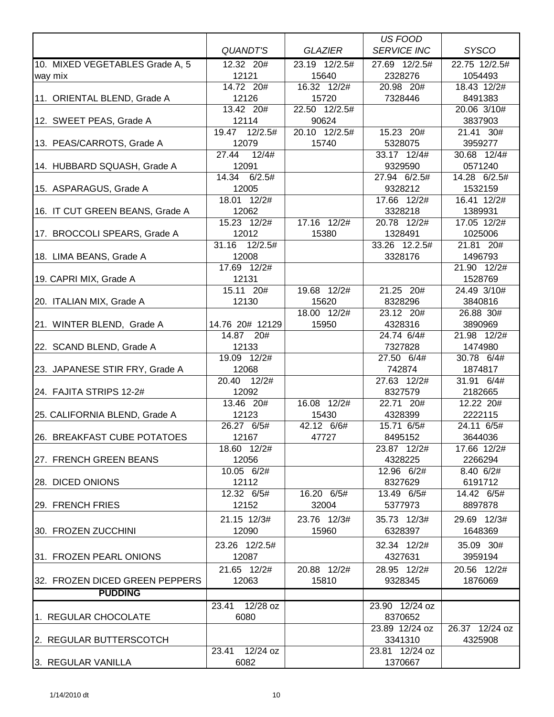|                                 |                        |                      | US FOOD                   |                      |
|---------------------------------|------------------------|----------------------|---------------------------|----------------------|
|                                 | QUANDT'S               | <b>GLAZIER</b>       | <b>SERVICE INC</b>        | <b>SYSCO</b>         |
| 10. MIXED VEGETABLES Grade A, 5 | 12.32 20#              | 23.19 12/2.5#        | 27.69 12/2.5#             | 22.75 12/2.5#        |
| way mix                         | 12121                  | 15640                | 2328276                   | 1054493              |
|                                 | 14.72 20#              | 16.32 12/2#          | 20.98 20#                 | 18.43 12/2#          |
| 11. ORIENTAL BLEND, Grade A     | 12126                  | 15720                | 7328446                   | 8491383              |
|                                 | 13.42 20#              | 22.50 12/2.5#        |                           | 20.06 3/10#          |
| 12. SWEET PEAS, Grade A         | 12114                  | 90624                |                           | 3837903              |
|                                 | 19.47 12/2.5#          | 20.10 12/2.5#        | 15.23 20#                 | 21.41 30#            |
| 13. PEAS/CARROTS, Grade A       | 12079                  | 15740                | 5328075                   | 3959277              |
|                                 | 27.44<br>12/4#         |                      | 33.17 12/4#               | 30.68 12/4#          |
| 14. HUBBARD SQUASH, Grade A     | 12091                  |                      | 9329590                   | 0571240              |
|                                 | 14.34 6/2.5#           |                      | 27.94 6/2.5#              | 14.28 6/2.5#         |
| 15. ASPARAGUS, Grade A          | 12005                  |                      | 9328212                   | 1532159              |
|                                 | 18.01 12/2#            |                      | 17.66 12/2#               | 16.41 12/2#          |
| 16. IT CUT GREEN BEANS, Grade A | 12062                  |                      | 3328218                   | 1389931              |
|                                 | 15.23 12/2#            | 17.16 12/2#          | 20.78 12/2#               | 17.05 12/2#          |
| 17. BROCCOLI SPEARS, Grade A    | 12012                  | 15380                | 1328491                   | 1025006              |
|                                 | 31.16 12/2.5#          |                      | 33.26 12.2.5#             | 21.81 20#            |
| 18. LIMA BEANS, Grade A         | 12008                  |                      | 3328176                   | 1496793              |
|                                 | 17.69 12/2#            |                      |                           | 21.90 12/2#          |
| 19. CAPRI MIX, Grade A          | 12131                  |                      |                           | 1528769              |
|                                 | 15.11 20#              | 19.68 12/2#          | 21.25 20#                 | 24.49 3/10#          |
| 20. ITALIAN MIX, Grade A        | 12130                  | 15620<br>18.00 12/2# | 8328296                   | 3840816              |
|                                 | 14.76 20# 12129        | 15950                | 23.12 20#<br>4328316      | 26.88 30#<br>3890969 |
| 21. WINTER BLEND, Grade A       | 14.87 20#              |                      | 24.74 6/4#                | 21.98 12/2#          |
| 22. SCAND BLEND, Grade A        | 12133                  |                      | 7327828                   | 1474980              |
|                                 | 19.09 12/2#            |                      | 27.50 6/4#                | 30.78 6/4#           |
| 23. JAPANESE STIR FRY, Grade A  | 12068                  |                      | 742874                    | 1874817              |
|                                 | 20.40<br>12/2#         |                      | 27.63 12/2#               | 31.91 6/4#           |
| 24. FAJITA STRIPS 12-2#         | 12092                  |                      | 8327579                   | 2182665              |
|                                 | 13.46 20#              | 16.08 12/2#          | 22.71 20#                 | 12.22 20#            |
| 25. CALIFORNIA BLEND, Grade A   | 12123                  | 15430                | 4328399                   | 2222115              |
|                                 | 26.27 6/5#             | 42.12 6/6#           | 15.71 6/5#                | 24.11 6/5#           |
| 26. BREAKFAST CUBE POTATOES     | 12167                  | 47727                | 8495152                   | 3644036              |
|                                 | 18.60 12/2#            |                      | 23.87 12/2#               | 17.66 12/2#          |
| 27. FRENCH GREEN BEANS          | 12056                  |                      | 4328225                   | 2266294              |
|                                 | 10.05 6/2#             |                      | 12.96 6/2#                | 8.40 6/2#            |
| 28. DICED ONIONS                | 12112                  |                      | 8327629                   | 6191712              |
|                                 | 12.32 6/5#             | 16.20 6/5#           | 13.49 6/5#                | 14.42 6/5#           |
| 29. FRENCH FRIES                | 12152                  | 32004                | 5377973                   | 8897878              |
|                                 | 21.15 12/3#            | 23.76 12/3#          | 35.73 12/3#               | 29.69 12/3#          |
| 30. FROZEN ZUCCHINI             | 12090                  | 15960                | 6328397                   | 1648369              |
|                                 | 23.26 12/2.5#          |                      | 32.34 12/2#               | 35.09 30#            |
| 31. FROZEN PEARL ONIONS         | 12087                  |                      | 4327631                   | 3959194              |
|                                 | 21.65 12/2#            | 20.88 12/2#          | 28.95 12/2#               | 20.56 12/2#          |
| 32. FROZEN DICED GREEN PEPPERS  | 12063                  | 15810                | 9328345                   | 1876069              |
| <b>PUDDING</b>                  |                        |                      |                           |                      |
|                                 |                        |                      |                           |                      |
| 1. REGULAR CHOCOLATE            | 23.41 12/28 oz<br>6080 |                      | 23.90 12/24 oz<br>8370652 |                      |
|                                 |                        |                      | 23.89 12/24 oz            | 26.37 12/24 oz       |
| 2. REGULAR BUTTERSCOTCH         |                        |                      | 3341310                   | 4325908              |
|                                 | 23.41 12/24 oz         |                      | 23.81 12/24 oz            |                      |
| 3. REGULAR VANILLA              | 6082                   |                      | 1370667                   |                      |
|                                 |                        |                      |                           |                      |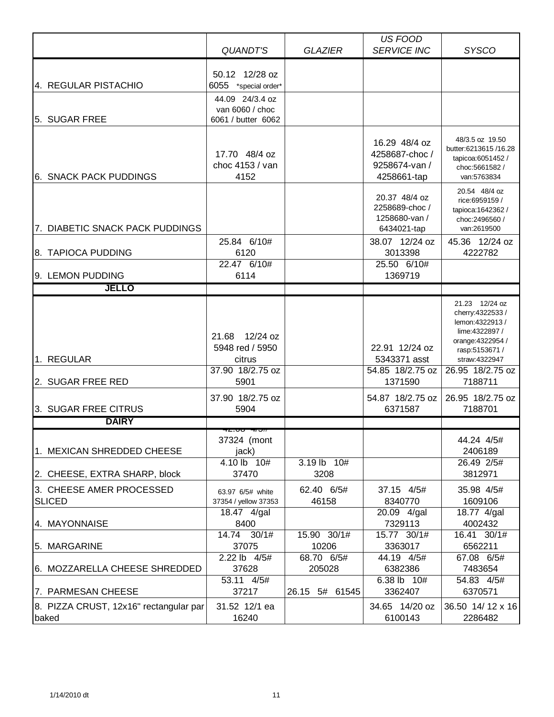|                                                 | <b>QUANDT'S</b>                          | <b>GLAZIER</b> | <b>US FOOD</b><br><b>SERVICE INC</b>                            | <b>SYSCO</b>                                                                                 |
|-------------------------------------------------|------------------------------------------|----------------|-----------------------------------------------------------------|----------------------------------------------------------------------------------------------|
|                                                 | 50.12 12/28 oz                           |                |                                                                 |                                                                                              |
| 4. REGULAR PISTACHIO                            | 6055 *special order*                     |                |                                                                 |                                                                                              |
|                                                 | 44.09 24/3.4 oz                          |                |                                                                 |                                                                                              |
|                                                 | van 6060 / choc                          |                |                                                                 |                                                                                              |
| 5. SUGAR FREE                                   | 6061 / butter 6062                       |                |                                                                 |                                                                                              |
| <b>6. SNACK PACK PUDDINGS</b>                   | 17.70 48/4 oz<br>choc 4153 / van<br>4152 |                | 16.29 48/4 oz<br>4258687-choc /<br>9258674-van /<br>4258661-tap | 48/3.5 oz 19.50<br>butter:6213615/16.28<br>tapicoa:6051452 /<br>choc:5661582/<br>van:5763834 |
| 7. DIABETIC SNACK PACK PUDDINGS                 |                                          |                | 20.37 48/4 oz<br>2258689-choc/<br>1258680-van /<br>6434021-tap  | 20.54 48/4 oz<br>rice:6959159 /<br>tapioca: 1642362 /<br>choc:2496560/<br>van:2619500        |
|                                                 | 25.84 6/10#                              |                | 38.07 12/24 oz                                                  | 45.36 12/24 oz                                                                               |
| 8. TAPIOCA PUDDING                              | 6120                                     |                | 3013398                                                         | 4222782                                                                                      |
|                                                 | 22.47 6/10#                              |                | 25.50 6/10#                                                     |                                                                                              |
| 9. LEMON PUDDING                                | 6114                                     |                | 1369719                                                         |                                                                                              |
| <b>JELLO</b>                                    |                                          |                |                                                                 |                                                                                              |
|                                                 |                                          |                |                                                                 | 21.23 12/24 oz<br>cherry: 4322533 /<br>lemon: 4322913 /                                      |
|                                                 | 12/24 oz<br>21.68                        |                |                                                                 | lime: 4322897 /<br>orange: 4322954 /                                                         |
|                                                 | 5948 red / 5950                          |                | 22.91 12/24 oz                                                  | rasp:5153671 /                                                                               |
| 1. REGULAR                                      | citrus                                   |                | 5343371 asst                                                    | straw:4322947                                                                                |
| 2. SUGAR FREE RED                               | 37.90 18/2.75 oz<br>5901                 |                | 54.85 18/2.75 oz<br>1371590                                     | 26.95 18/2.75 oz<br>7188711                                                                  |
|                                                 | 37.90 18/2.75 oz                         |                | 54.87 18/2.75 oz                                                | 26.95 18/2.75 oz                                                                             |
| 3. SUGAR FREE CITRUS                            | 5904                                     |                | 6371587                                                         | 7188701                                                                                      |
| <b>DAIRY</b>                                    |                                          |                |                                                                 |                                                                                              |
|                                                 | z. <del>oo</del><br>37324 (mont          |                |                                                                 | 44.24 4/5#                                                                                   |
| 1. MEXICAN SHREDDED CHEESE                      | jack)                                    |                |                                                                 | 2406189                                                                                      |
|                                                 | 4.10 lb 10#                              | 3.19 lb 10#    |                                                                 | 26.49 2/5#                                                                                   |
| 2. CHEESE, EXTRA SHARP, block                   | 37470                                    | 3208           |                                                                 | 3812971                                                                                      |
| 3. CHEESE AMER PROCESSED                        | 63.97 6/5# white                         | 62.40 6/5#     | 37.15 4/5#                                                      | 35.98 4/5#                                                                                   |
| <b>SLICED</b>                                   | 37354 / yellow 37353<br>18.47 4/gal      | 46158          | 8340770<br>20.09 4/gal                                          | 1609106<br>18.77 4/gal                                                                       |
| 4. MAYONNAISE                                   | 8400                                     |                | 7329113                                                         | 4002432                                                                                      |
|                                                 | 14.74 30/1#                              | 15.90 30/1#    | 15.77 30/1#                                                     | 16.41 30/1#                                                                                  |
| 5. MARGARINE                                    | 37075                                    | 10206          | 3363017                                                         | 6562211                                                                                      |
|                                                 | 2.22 lb 4/5#                             | 68.70 6/5#     | 44.19 4/5#                                                      | 67.08 6/5#                                                                                   |
| 6. MOZZARELLA CHEESE SHREDDED                   | 37628                                    | 205028         | 6382386                                                         | 7483654                                                                                      |
| 7. PARMESAN CHEESE                              | 53.11 4/5#<br>37217                      | 26.15 5# 61545 | 6.38 lb 10#<br>3362407                                          | 54.83 4/5#<br>6370571                                                                        |
|                                                 |                                          |                |                                                                 |                                                                                              |
| 8. PIZZA CRUST, 12x16" rectangular par<br>baked | 31.52 12/1 ea<br>16240                   |                | 34.65 14/20 oz<br>6100143                                       | 36.50 14/12 x 16<br>2286482                                                                  |
|                                                 |                                          |                |                                                                 |                                                                                              |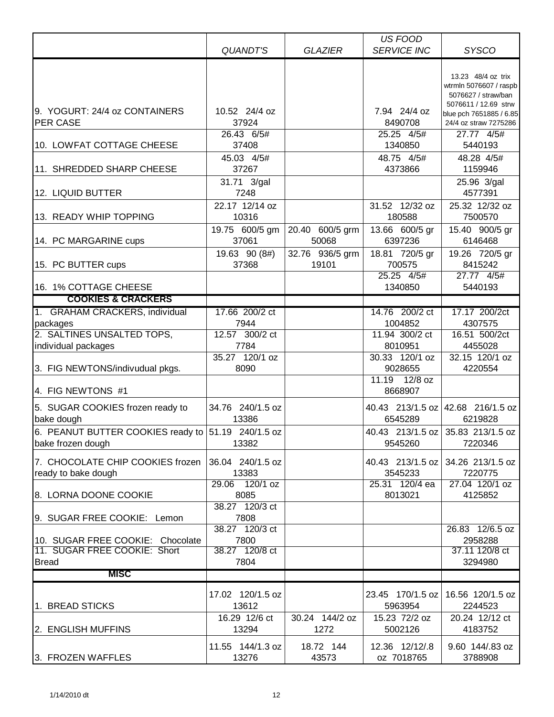|                                                         |                             |                        | US FOOD                      |                                                                          |
|---------------------------------------------------------|-----------------------------|------------------------|------------------------------|--------------------------------------------------------------------------|
|                                                         | <b>QUANDT'S</b>             | <b>GLAZIER</b>         | <b>SERVICE INC</b>           | <b>SYSCO</b>                                                             |
|                                                         |                             |                        |                              | 13.23 48/4 oz trix<br>wtrmln 5076607 / raspb<br>5076627 / straw/ban      |
| 9. YOGURT: 24/4 oz CONTAINERS<br><b>PER CASE</b>        | 10.52 24/4 oz<br>37924      |                        | 7.94 24/4 oz<br>8490708      | 5076611 / 12.69 strw<br>blue pch 7651885 / 6.85<br>24/4 oz straw 7275286 |
|                                                         | 26.43 6/5#                  |                        | 25.25 4/5#                   | 27.77 4/5#                                                               |
| 10. LOWFAT COTTAGE CHEESE                               | 37408                       |                        | 1340850                      | 5440193                                                                  |
| 11. SHREDDED SHARP CHEESE                               | 45.03 4/5#<br>37267         |                        | 48.75 4/5#<br>4373866        | 48.28 4/5#<br>1159946                                                    |
|                                                         | 31.71 3/gal                 |                        |                              | 25.96 3/gal                                                              |
| 12. LIQUID BUTTER                                       | 7248                        |                        |                              | 4577391                                                                  |
|                                                         | 22.17 12/14 oz              |                        | 31.52 12/32 oz               | 25.32 12/32 oz                                                           |
| 13. READY WHIP TOPPING                                  | 10316                       |                        | 180588                       | 7500570                                                                  |
|                                                         | 19.75 600/5 gm              | 20.40 600/5 grm        | 13.66 600/5 gr               | 15.40 900/5 gr                                                           |
| 14. PC MARGARINE cups                                   | 37061                       | 50068                  | 6397236                      | 6146468                                                                  |
|                                                         | 19.63 90 (8#)               | 32.76 936/5 grm        | 18.81 720/5 gr               | 19.26 720/5 gr                                                           |
| 15. PC BUTTER cups                                      | 37368                       | 19101                  | 700575                       | 8415242                                                                  |
|                                                         |                             |                        | 25.25 4/5#                   | 27.77 4/5#                                                               |
| 16. 1% COTTAGE CHEESE                                   |                             |                        | 1340850                      | 5440193                                                                  |
| <b>COOKIES &amp; CRACKERS</b>                           |                             |                        |                              |                                                                          |
| 1. GRAHAM CRACKERS, individual                          | 17.66 200/2 ct              |                        | 14.76 200/2 ct               | 17.17 200/2ct                                                            |
| packages<br>2. SALTINES UNSALTED TOPS,                  | 7944<br>12.57 300/2 ct      |                        | 1004852<br>11.94 300/2 ct    | 4307575<br>16.51 500/2ct                                                 |
| individual packages                                     | 7784                        |                        | 8010951                      | 4455028                                                                  |
|                                                         | 35.27 120/1 oz              |                        | 30.33 120/1 oz               | 32.15 120/1 oz                                                           |
| 3. FIG NEWTONS/indivudual pkgs.                         | 8090                        |                        | 9028655                      | 4220554                                                                  |
| 4. FIG NEWTONS #1                                       |                             |                        | 12/8 oz<br>11.19<br>8668907  |                                                                          |
| 5. SUGAR COOKIES frozen ready to                        | 34.76 240/1.5 oz            |                        |                              | 40.43 213/1.5 oz 42.68 216/1.5 oz                                        |
| bake dough                                              | 13386                       |                        | 6545289                      | 6219828                                                                  |
| 6. PEANUT BUTTER COOKIES ready to 51.19 240/1.5 oz      |                             |                        |                              | 40.43 213/1.5 oz 35.83 213/1.5 oz                                        |
| bake frozen dough                                       | 13382                       |                        | 9545260                      | 7220346                                                                  |
| 7. CHOCOLATE CHIP COOKIES frozen<br>ready to bake dough | 36.04 240/1.5 oz<br>13383   |                        | 40.43 213/1.5 oz<br>3545233  | 34.26 213/1.5 oz<br>7220775                                              |
| 8. LORNA DOONE COOKIE                                   | $120/1$ oz<br>29.06<br>8085 |                        | 25.31 120/4 ea<br>8013021    | 27.04 120/1 oz<br>4125852                                                |
| 9. SUGAR FREE COOKIE: Lemon                             | 38.27 120/3 ct<br>7808      |                        |                              |                                                                          |
| 10. SUGAR FREE COOKIE: Chocolate                        | 38.27 120/3 ct<br>7800      |                        |                              | 26.83 12/6.5 oz<br>2958288                                               |
| 11. SUGAR FREE COOKIE: Short                            | 38.27 120/8 ct              |                        |                              | 37.11 120/8 ct                                                           |
| <b>Bread</b>                                            | 7804                        |                        |                              | 3294980                                                                  |
| <b>MISC</b>                                             |                             |                        |                              |                                                                          |
| 1. BREAD STICKS                                         | 17.02 120/1.5 oz<br>13612   |                        | 23.45 170/1.5 oz<br>5963954  | 16.56 120/1.5 oz<br>2244523                                              |
| 2. ENGLISH MUFFINS                                      | 16.29 12/6 ct<br>13294      | 30.24 144/2 oz<br>1272 | 15.23 72/2 oz<br>5002126     | 20.24 12/12 ct<br>4183752                                                |
| 3. FROZEN WAFFLES                                       | 11.55 144/1.3 oz<br>13276   | 18.72 144<br>43573     | 12.36 12/12/.8<br>oz 7018765 | 9.60 144/.83 oz<br>3788908                                               |